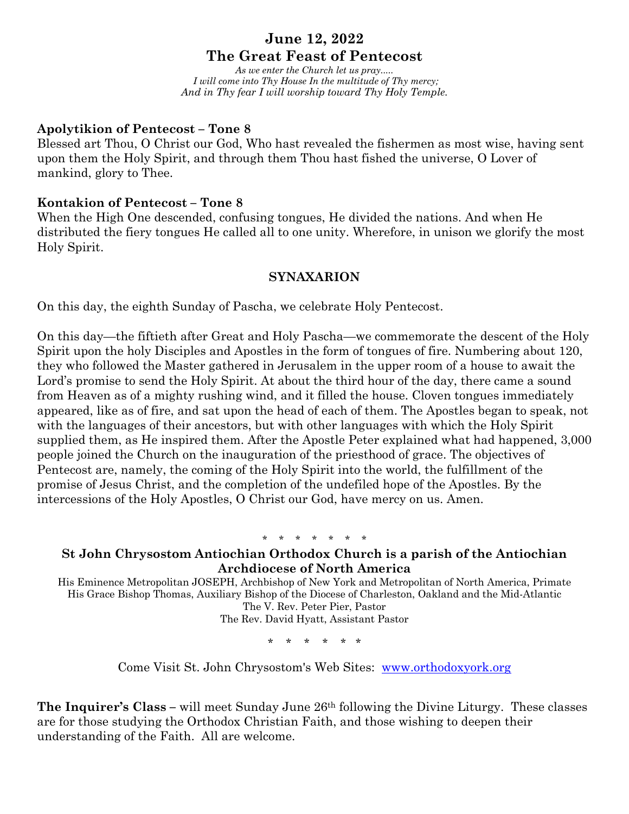# **June 12, 2022**

# **The Great Feast of Pentecost**

*As we enter the Church let us pray..... I will come into Thy House In the multitude of Thy mercy; And in Thy fear I will worship toward Thy Holy Temple.*

## **Apolytikion of Pentecost – Tone 8**

Blessed art Thou, O Christ our God, Who hast revealed the fishermen as most wise, having sent upon them the Holy Spirit, and through them Thou hast fished the universe, O Lover of mankind, glory to Thee.

## **Kontakion of Pentecost – Tone 8**

When the High One descended, confusing tongues, He divided the nations. And when He distributed the fiery tongues He called all to one unity. Wherefore, in unison we glorify the most Holy Spirit.

## **SYNAXARION**

On this day, the eighth Sunday of Pascha, we celebrate Holy Pentecost.

On this day—the fiftieth after Great and Holy Pascha—we commemorate the descent of the Holy Spirit upon the holy Disciples and Apostles in the form of tongues of fire. Numbering about 120, they who followed the Master gathered in Jerusalem in the upper room of a house to await the Lord's promise to send the Holy Spirit. At about the third hour of the day, there came a sound from Heaven as of a mighty rushing wind, and it filled the house. Cloven tongues immediately appeared, like as of fire, and sat upon the head of each of them. The Apostles began to speak, not with the languages of their ancestors, but with other languages with which the Holy Spirit supplied them, as He inspired them. After the Apostle Peter explained what had happened, 3,000 people joined the Church on the inauguration of the priesthood of grace. The objectives of Pentecost are, namely, the coming of the Holy Spirit into the world, the fulfillment of the promise of Jesus Christ, and the completion of the undefiled hope of the Apostles. By the intercessions of the Holy Apostles, O Christ our God, have mercy on us. Amen.

\* \* \* \* \* \* \*

## **St John Chrysostom Antiochian Orthodox Church is a parish of the Antiochian Archdiocese of North America**

His Eminence Metropolitan JOSEPH, Archbishop of New York and Metropolitan of North America, Primate His Grace Bishop Thomas, Auxiliary Bishop of the Diocese of Charleston, Oakland and the Mid-Atlantic The V. Rev. Peter Pier, Pastor The Rev. David Hyatt, Assistant Pastor

\* \* \* \* \* \*

Come Visit St. John Chrysostom's Web Sites: www.orthodoxyork.org

**The Inquirer's Class –** will meet Sunday June 26th following the Divine Liturgy. These classes are for those studying the Orthodox Christian Faith, and those wishing to deepen their understanding of the Faith. All are welcome.